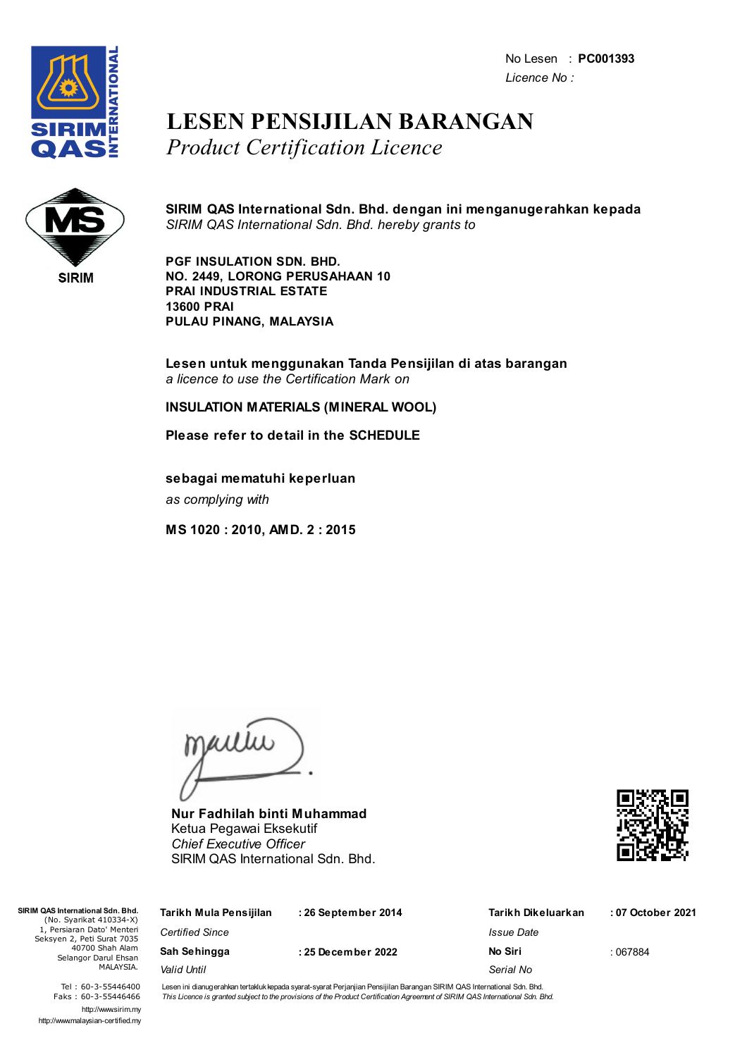No Lesen : **PC001393** *Licence No :*



## **LESEN PENSIJILAN BARANGAN** *Product Certification Licence*



**SIRIM QAS International Sdn. Bhd. dengan ini menganugerahkan kepada** *SIRIM QAS International Sdn. Bhd. hereby grants to*

**PGF INSULATION SDN. BHD. NO. 2449, LORONG PERUSAHAAN 10 PRAI INDUSTRIAL ESTATE 13600 PRAI PULAU PINANG, MALAYSIA**

**Lesen untuk menggunakan Tanda Pensijilan di atas barangan** *a licence to use the Certification Mark on*

**INSULATION MATERIALS (MINERAL WOOL)**

**Please refer to detail in the SCHEDULE**

**sebagai mematuhi keperluan** *as complying with*

**MS 1020 : 2010, AMD. 2 : 2015**

jailie

**Nur Fadhilah binti Muhammad** Ketua Pegawai Eksekutif *Chief Executive Officer* SIRIM QAS International Sdn. Bhd.



| SIRIM QAS International Sdn. Bhd.<br>(No. Syarikat 410334-X)<br>1, Persiaran Dato' Menteri<br>Seksyen 2, Peti Surat 7035<br>40700 Shah Alam<br>Selangor Darul Ehsan<br>MALAYSIA. | Tarikh Mula Pensijilan | : 26 September 2014 | Tarikh Dikeluarkan | : 07 October 2021 |
|----------------------------------------------------------------------------------------------------------------------------------------------------------------------------------|------------------------|---------------------|--------------------|-------------------|
|                                                                                                                                                                                  | <b>Certified Since</b> |                     | Issue Date         |                   |
|                                                                                                                                                                                  | Sah Sehingga           | : 25 December 2022  | No Siri            | : 067884          |
|                                                                                                                                                                                  | Valid Until            |                     | Serial No          |                   |

Tel : 60-3-55446400 Faks : 60-3-55446466 http://www.sirim.my http://www.malaysian-certified.my Lesen ini dianugerahkan tertakluk kepada syarat-syarat Perjanjian Pensijilan Barangan SIRIM QAS International Sdn. Bhd. This Licence is granted subject to the provisions of the Product Certification Agreement of SIRIM QAS International Sdn. Bhd.